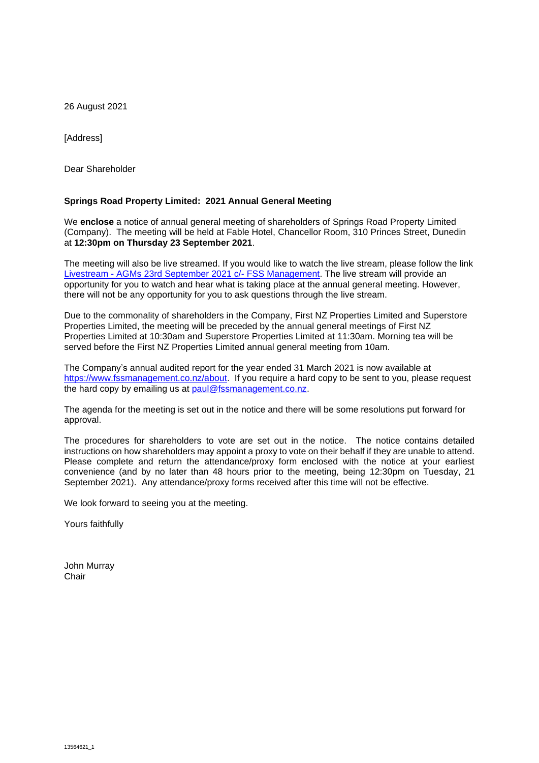26 August 2021

[Address]

Dear Shareholder

#### **Springs Road Property Limited: 2021 Annual General Meeting**

We **enclose** a notice of annual general meeting of shareholders of Springs Road Property Limited (Company). The meeting will be held at Fable Hotel, Chancellor Room, 310 Princes Street, Dunedin at **12:30pm on Thursday 23 September 2021**.

The meeting will also be live streamed. If you would like to watch the live stream, please follow the link Livestream - [AGMs 23rd September 2021 c/-](https://youtu.be/FaZxUT3HjLA) FSS Management. The live stream will provide an opportunity for you to watch and hear what is taking place at the annual general meeting. However, there will not be any opportunity for you to ask questions through the live stream.

Due to the commonality of shareholders in the Company, First NZ Properties Limited and Superstore Properties Limited, the meeting will be preceded by the annual general meetings of First NZ Properties Limited at 10:30am and Superstore Properties Limited at 11:30am. Morning tea will be served before the First NZ Properties Limited annual general meeting from 10am.

The Company's annual audited report for the year ended 31 March 2021 is now available at https://www.fssmanagement.co.nz/about. If you require a hard copy to be sent to you, please request the hard copy by emailing us at [paul@fssmanagement.co.nz.](mailto:paul@fssmanagement.co.nz)

The agenda for the meeting is set out in the notice and there will be some resolutions put forward for approval.

The procedures for shareholders to vote are set out in the notice. The notice contains detailed instructions on how shareholders may appoint a proxy to vote on their behalf if they are unable to attend. Please complete and return the attendance/proxy form enclosed with the notice at your earliest convenience (and by no later than 48 hours prior to the meeting, being 12:30pm on Tuesday, 21 September 2021). Any attendance/proxy forms received after this time will not be effective.

We look forward to seeing you at the meeting.

Yours faithfully

John Murray **Chair**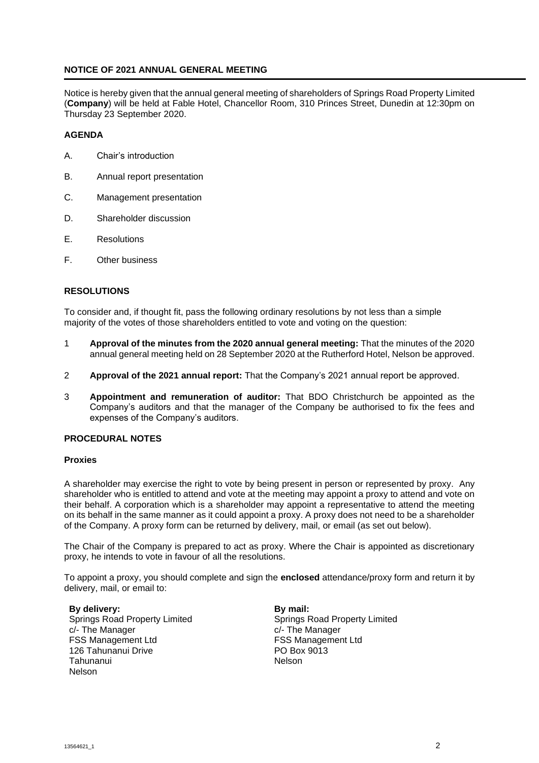#### **NOTICE OF 2021 ANNUAL GENERAL MEETING**

Notice is hereby given that the annual general meeting of shareholders of Springs Road Property Limited (**Company**) will be held at Fable Hotel, Chancellor Room, 310 Princes Street, Dunedin at 12:30pm on Thursday 23 September 2020.

#### **AGENDA**

- A. Chair's introduction
- B. Annual report presentation
- C. Management presentation
- D. Shareholder discussion
- E. Resolutions
- F. Other business

#### **RESOLUTIONS**

To consider and, if thought fit, pass the following ordinary resolutions by not less than a simple majority of the votes of those shareholders entitled to vote and voting on the question:

- 1 **Approval of the minutes from the 2020 annual general meeting:** That the minutes of the 2020 annual general meeting held on 28 September 2020 at the Rutherford Hotel, Nelson be approved.
- 2 **Approval of the 2021 annual report:** That the Company's 2021 annual report be approved.
- 3 **Appointment and remuneration of auditor:** That BDO Christchurch be appointed as the Company's auditors and that the manager of the Company be authorised to fix the fees and expenses of the Company's auditors.

#### **PROCEDURAL NOTES**

#### **Proxies**

A shareholder may exercise the right to vote by being present in person or represented by proxy. Any shareholder who is entitled to attend and vote at the meeting may appoint a proxy to attend and vote on their behalf. A corporation which is a shareholder may appoint a representative to attend the meeting on its behalf in the same manner as it could appoint a proxy. A proxy does not need to be a shareholder of the Company. A proxy form can be returned by delivery, mail, or email (as set out below).

The Chair of the Company is prepared to act as proxy. Where the Chair is appointed as discretionary proxy, he intends to vote in favour of all the resolutions.

To appoint a proxy, you should complete and sign the **enclosed** attendance/proxy form and return it by delivery, mail, or email to:

**By delivery:** Springs Road Property Limited c/- The Manager FSS Management Ltd 126 Tahunanui Drive Tahunanui Nelson

**By mail:** Springs Road Property Limited c/- The Manager FSS Management Ltd PO Box 9013 Nelson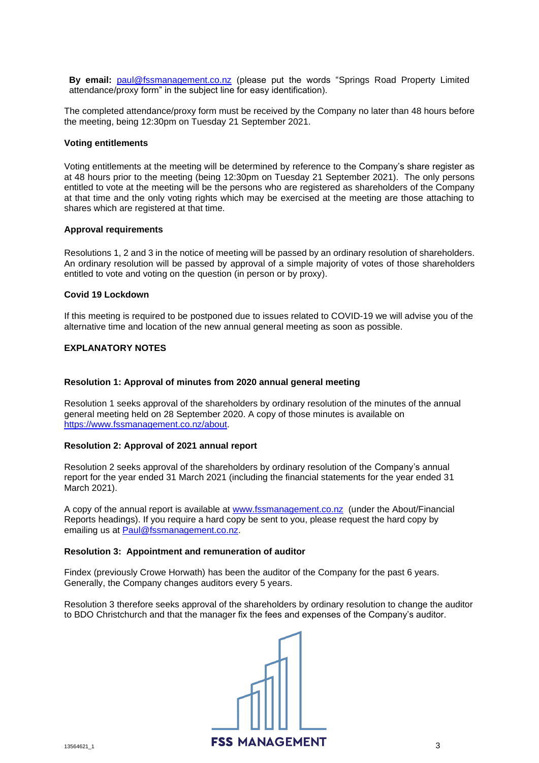**By email:** [paul@fssmanagement.co.nz](mailto:paul@fssmanagement.co.nz) (please put the words "Springs Road Property Limited attendance/proxy form" in the subject line for easy identification).

The completed attendance/proxy form must be received by the Company no later than 48 hours before the meeting, being 12:30pm on Tuesday 21 September 2021.

#### **Voting entitlements**

Voting entitlements at the meeting will be determined by reference to the Company's share register as at 48 hours prior to the meeting (being 12:30pm on Tuesday 21 September 2021). The only persons entitled to vote at the meeting will be the persons who are registered as shareholders of the Company at that time and the only voting rights which may be exercised at the meeting are those attaching to shares which are registered at that time.

#### **Approval requirements**

Resolutions 1, 2 and 3 in the notice of meeting will be passed by an ordinary resolution of shareholders. An ordinary resolution will be passed by approval of a simple majority of votes of those shareholders entitled to vote and voting on the question (in person or by proxy).

#### **Covid 19 Lockdown**

If this meeting is required to be postponed due to issues related to COVID-19 we will advise you of the alternative time and location of the new annual general meeting as soon as possible.

#### **EXPLANATORY NOTES**

#### **Resolution 1: Approval of minutes from 2020 annual general meeting**

Resolution 1 seeks approval of the shareholders by ordinary resolution of the minutes of the annual general meeting held on 28 September 2020. A copy of those minutes is available on [https://www.fssmanagement.co.nz/about.](https://www.fssmanagement.co.nz/about)

#### **Resolution 2: Approval of 2021 annual report**

Resolution 2 seeks approval of the shareholders by ordinary resolution of the Company's annual report for the year ended 31 March 2021 (including the financial statements for the year ended 31 March 2021).

A copy of the annual report is available at [www.fssmanagement.co.nz](http://www.fssmanagement.co.nz/) (under the About/Financial Reports headings). If you require a hard copy be sent to you, please request the hard copy by emailing us at [Paul@fssmanagement.co.nz.](mailto:Paul@fssmanagement.co.nz)

#### **Resolution 3: Appointment and remuneration of auditor**

Findex (previously Crowe Horwath) has been the auditor of the Company for the past 6 years. Generally, the Company changes auditors every 5 years.

Resolution 3 therefore seeks approval of the shareholders by ordinary resolution to change the auditor to BDO Christchurch and that the manager fix the fees and expenses of the Company's auditor.

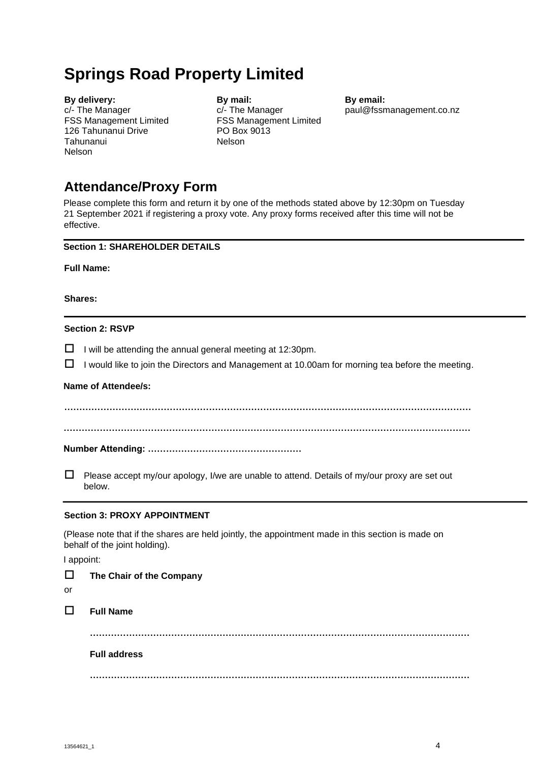# **Springs Road Property Limited**

| By delivery:                  |
|-------------------------------|
| c/- The Manager               |
| <b>FSS Management Limited</b> |
| 126 Tahunanui Drive           |
| Tahunanui                     |
| <b>Nelson</b>                 |

**By mail:** c/- The Manager FSS Management Limited PO Box 9013 Nelson

**By email:** [paul@fssmanagement.co.nz](mailto:paul@fssmanagement.co.nz)

## **Attendance/Proxy Form**

Please complete this form and return it by one of the methods stated above by 12:30pm on Tuesday 21 September 2021 if registering a proxy vote. Any proxy forms received after this time will not be effective.

### **Section 1: SHAREHOLDER DETAILS**

**Full Name:** 

**Shares:** 

#### **Section 2: RSVP**

 $\Box$  I will be attending the annual general meeting at 12:30pm.

 $\Box$  I would like to join the Directors and Management at 10.00am for morning tea before the meeting.

#### **Name of Attendee/s:**

**……………………………………………………………………………………………………………………… ………………………………………………………………………………………………………………………** 

**Number Attending: ……………………………………………** 

 $\Box$  Please accept my/our apology, I/we are unable to attend. Details of my/our proxy are set out below.

#### **Section 3: PROXY APPOINTMENT**

(Please note that if the shares are held jointly, the appointment made in this section is made on behalf of the joint holding).

I appoint:

| $\Box$<br>or | The Chair of the Company |
|--------------|--------------------------|
| $\Box$       | <b>Full Name</b>         |
|              |                          |
|              | <b>Full address</b>      |
|              | <br>.                    |